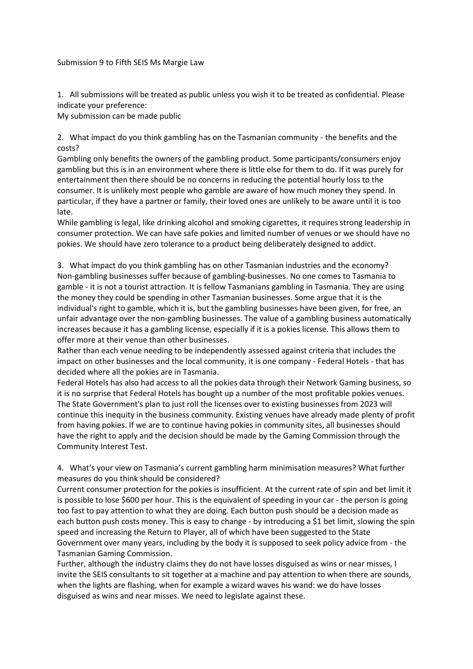## Submission 9 to Fifth SEIS Ms Margie Law

1. All submissions will be treated as public unless you wish it to be treated as confidential. Please indicate your preference:

My submission can be made public

2. What impact do you think gambling has on the Tasmanian community - the benefits and the costs?

Gambling only benefits the owners of the gambling product. Some participants/consumers enjoy gambling but this is in an environment where there is little else for them to do. If it was purely for entertainment then there should be no concerns in reducing the potential hourly loss to the consumer. It is unlikely most people who gamble are aware of how much money they spend. In particular, if they have a partner or family, their loved ones are unlikely to be aware until it is too late.

While gambling is legal, like drinking alcohol and smoking cigarettes, it requires strong leadership in consumer protection. We can have safe pokies and limited number of venues or we should have no pokies. We should have zero tolerance to a product being deliberately designed to addict.

3. What impact do you think gambling has on other Tasmanian industries and the economy? Non-gambling businesses suffer because of gambling-businesses. No one comes to Tasmania to gamble - it is not a tourist attraction. It is fellow Tasmanians gambling in Tasmania. They are using the money they could be spending in other Tasmanian businesses. Some argue that it is the individual's right to gamble, which it is, but the gambling businesses have been given, for free, an unfair advantage over the non-gambling businesses. The value of a gambling business automatically increases because it has a gambling license, especially if it is a pokies license. This allows them to offer more at their venue than other businesses.

Rather than each venue needing to be independently assessed against criteria that includes the impact on other businesses and the local community, it is one company - Federal Hotels - that has decided where all the pokies are in Tasmania.

Federal Hotels has also had access to all the pokies data through their Network Gaming business, so it is no surprise that Federal Hotels has bought up a number of the most profitable pokies venues. The State Government's plan to just roll the licenses over to existing businesses from 2023 will continue this inequity in the business community. Existing venues have already made plenty of profit from having pokies. If we are to continue having pokies in community sites, all businesses should have the right to apply and the decision should be made by the Gaming Commission through the Community Interest Test.

4. What's your view on Tasmania's current gambling harm minimisation measures? What further measures do you think should be considered?

Current consumer protection for the pokies is insufficient. At the current rate of spin and bet limit it is possible to lose \$600 per hour. This is the equivalent of speeding in your car - the person is going too fast to pay attention to what they are doing. Each button push should be a decision made as each button push costs money. This is easy to change - by introducing a \$1 bet limit, slowing the spin speed and increasing the Return to Player, all of which have been suggested to the State Government over many years, including by the body it is supposed to seek policy advice from - the Tasmanian Gaming Commission.

Further, although the industry claims they do not have losses disguised as wins or near misses, I invite the SEIS consultants to sit together at a machine and pay attention to when there are sounds, when the lights are flashing, when for example a wizard waves his wand: we do have losses disguised as wins and near misses. We need to legislate against these.